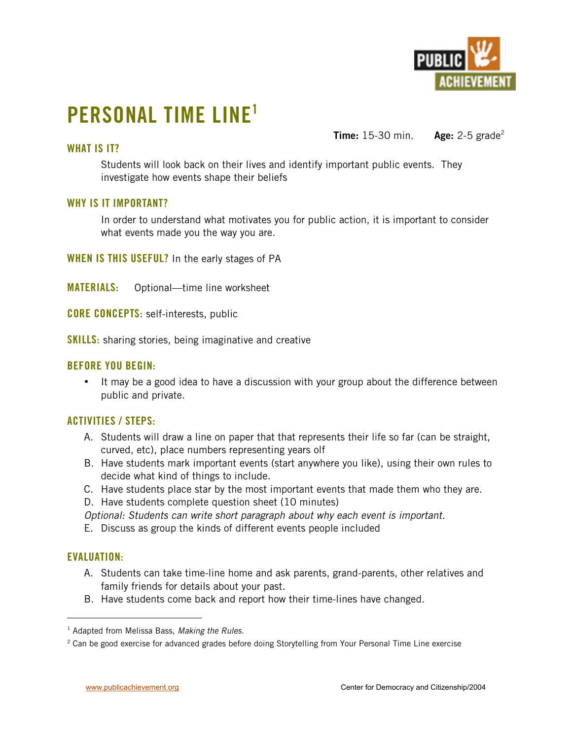

# **PERSONAL TIME LINE1**

## **WHAT IS IT?**

**Time:** 15-30 min. **Age:** 2-5 grade<sup>2</sup>

Students will look back on their lives and identify important public events. They investigate how events shape their beliefs

#### **WHY IS IT IMPORTANT?**

In order to understand what motivates you for public action, it is important to consider what events made you the way you are.

**WHEN IS THIS USEFUL?** In the early stages of PA

**MATERIALS:** Optional—time line worksheet

**CORE CONCEPTS:** self-interests, public

**SKILLS:** sharing stories, being imaginative and creative

### **BEFORE YOU BEGIN:**

It may be a good idea to have a discussion with your group about the difference between public and private.

#### **ACTIVITIES / STEPS:**

- A. Students will draw a line on paper that that represents their life so far (can be straight, curved, etc), place numbers representing years olf
- B. Have students mark important events (start anywhere you like), using their own rules to decide what kind of things to include.
- C. Have students place star by the most important events that made them who they are.
- D. Have students complete question sheet (10 minutes)

*Optional: Students can write short paragraph about why each event is important.*

E. Discuss as group the kinds of different events people included

#### **EVALUATION:**

- A. Students can take time-line home and ask parents, grand-parents, other relatives and family friends for details about your past.
- B. Have students come back and report how their time-lines have changed.

 $\overline{1}$ <sup>1</sup> Adapted from Melissa Bass, Making the Rules.

 $^2$  Can be good exercise for advanced grades before doing Storytelling from Your Personal Time Line exercise